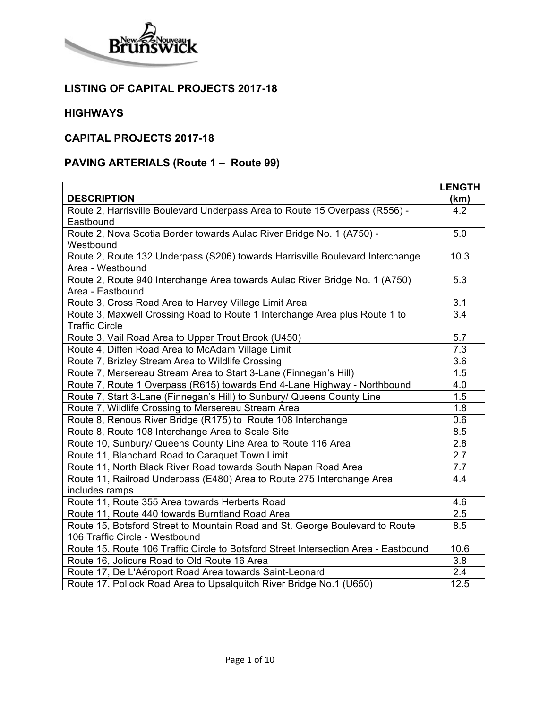

#### **LISTING OF CAPITAL PROJECTS 2017-18**

#### **HIGHWAYS**

# **CAPITAL PROJECTS 2017-18**

# **PAVING ARTERIALS (Route 1 – Route 99)**

|                                                                                     | <b>LENGTH</b>    |
|-------------------------------------------------------------------------------------|------------------|
| <b>DESCRIPTION</b>                                                                  | (km)             |
| Route 2, Harrisville Boulevard Underpass Area to Route 15 Overpass (R556) -         | 4.2              |
| Eastbound                                                                           |                  |
| Route 2, Nova Scotia Border towards Aulac River Bridge No. 1 (A750) -               | 5.0              |
| Westbound                                                                           |                  |
| Route 2, Route 132 Underpass (S206) towards Harrisville Boulevard Interchange       | 10.3             |
| Area - Westbound                                                                    |                  |
| Route 2, Route 940 Interchange Area towards Aulac River Bridge No. 1 (A750)         | 5.3              |
| Area - Eastbound                                                                    |                  |
| Route 3, Cross Road Area to Harvey Village Limit Area                               | 3.1              |
| Route 3, Maxwell Crossing Road to Route 1 Interchange Area plus Route 1 to          | $\overline{3.4}$ |
| <b>Traffic Circle</b>                                                               |                  |
| Route 3, Vail Road Area to Upper Trout Brook (U450)                                 | 5.7              |
| Route 4, Diffen Road Area to McAdam Village Limit                                   | 7.3              |
| Route 7, Brizley Stream Area to Wildlife Crossing                                   | 3.6              |
| Route 7, Mersereau Stream Area to Start 3-Lane (Finnegan's Hill)                    | 1.5              |
| Route 7, Route 1 Overpass (R615) towards End 4-Lane Highway - Northbound            | 4.0              |
| Route 7, Start 3-Lane (Finnegan's Hill) to Sunbury/ Queens County Line              | 1.5              |
| Route 7, Wildlife Crossing to Mersereau Stream Area                                 | 1.8              |
| Route 8, Renous River Bridge (R175) to Route 108 Interchange                        | 0.6              |
| Route 8, Route 108 Interchange Area to Scale Site                                   | 8.5              |
| Route 10, Sunbury/ Queens County Line Area to Route 116 Area                        | 2.8              |
| Route 11, Blanchard Road to Caraquet Town Limit                                     | 2.7              |
| Route 11, North Black River Road towards South Napan Road Area                      | 7.7              |
| Route 11, Railroad Underpass (E480) Area to Route 275 Interchange Area              | 4.4              |
| includes ramps                                                                      |                  |
| Route 11, Route 355 Area towards Herberts Road                                      | 4.6              |
| Route 11, Route 440 towards Burntland Road Area                                     | 2.5              |
| Route 15, Botsford Street to Mountain Road and St. George Boulevard to Route        | 8.5              |
| 106 Traffic Circle - Westbound                                                      |                  |
| Route 15, Route 106 Traffic Circle to Botsford Street Intersection Area - Eastbound | 10.6             |
| Route 16, Jolicure Road to Old Route 16 Area                                        | 3.8              |
| Route 17, De L'Aéroport Road Area towards Saint-Leonard                             | 2.4              |
| Route 17, Pollock Road Area to Upsalquitch River Bridge No.1 (U650)                 | 12.5             |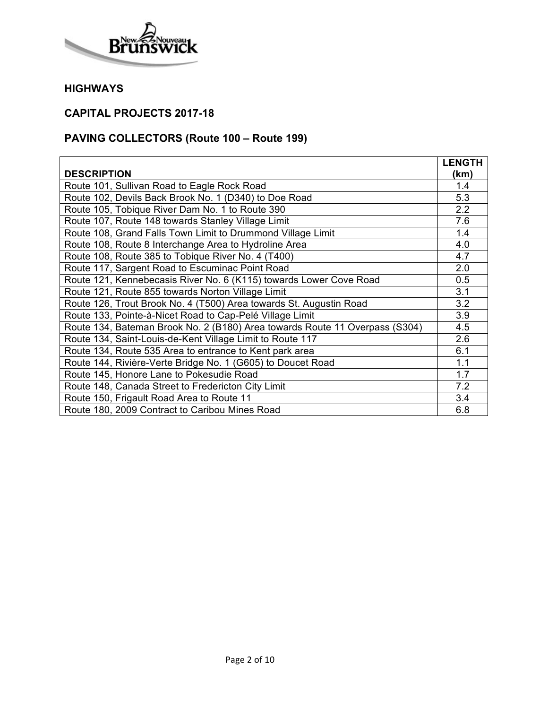

## **CAPITAL PROJECTS 2017-18**

# **PAVING COLLECTORS (Route 100 – Route 199)**

|                                                                             | <b>LENGTH</b> |
|-----------------------------------------------------------------------------|---------------|
| <b>DESCRIPTION</b>                                                          | (km)          |
| Route 101, Sullivan Road to Eagle Rock Road                                 | 1.4           |
| Route 102, Devils Back Brook No. 1 (D340) to Doe Road                       | 5.3           |
| Route 105, Tobique River Dam No. 1 to Route 390                             | 2.2           |
| Route 107, Route 148 towards Stanley Village Limit                          | 7.6           |
| Route 108, Grand Falls Town Limit to Drummond Village Limit                 | 1.4           |
| Route 108, Route 8 Interchange Area to Hydroline Area                       | 4.0           |
| Route 108, Route 385 to Tobique River No. 4 (T400)                          | 4.7           |
| Route 117, Sargent Road to Escuminac Point Road                             | 2.0           |
| Route 121, Kennebecasis River No. 6 (K115) towards Lower Cove Road          | 0.5           |
| Route 121, Route 855 towards Norton Village Limit                           | 3.1           |
| Route 126, Trout Brook No. 4 (T500) Area towards St. Augustin Road          | 3.2           |
| Route 133, Pointe-à-Nicet Road to Cap-Pelé Village Limit                    | 3.9           |
| Route 134, Bateman Brook No. 2 (B180) Area towards Route 11 Overpass (S304) | 4.5           |
| Route 134, Saint-Louis-de-Kent Village Limit to Route 117                   | 2.6           |
| Route 134, Route 535 Area to entrance to Kent park area                     | 6.1           |
| Route 144, Rivière-Verte Bridge No. 1 (G605) to Doucet Road                 | 1.1           |
| Route 145, Honore Lane to Pokesudie Road                                    | 1.7           |
| Route 148, Canada Street to Fredericton City Limit                          | 7.2           |
| Route 150, Frigault Road Area to Route 11                                   | 3.4           |
| Route 180, 2009 Contract to Caribou Mines Road                              | 6.8           |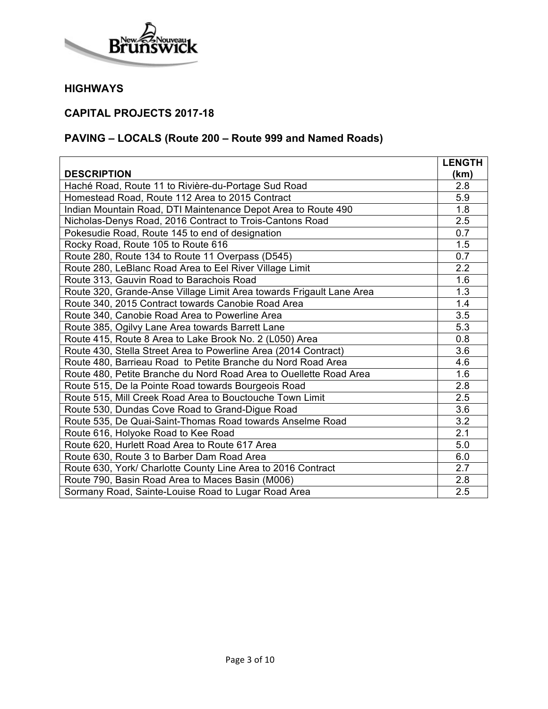

## **CAPITAL PROJECTS 2017-18**

# **PAVING – LOCALS (Route 200 – Route 999 and Named Roads)**

|                                                                      | <b>LENGTH</b> |
|----------------------------------------------------------------------|---------------|
| <b>DESCRIPTION</b>                                                   | (km)          |
| Haché Road, Route 11 to Rivière-du-Portage Sud Road                  | 2.8           |
| Homestead Road, Route 112 Area to 2015 Contract                      | 5.9           |
| Indian Mountain Road, DTI Maintenance Depot Area to Route 490        | 1.8           |
| Nicholas-Denys Road, 2016 Contract to Trois-Cantons Road             | 2.5           |
| Pokesudie Road, Route 145 to end of designation                      | 0.7           |
| Rocky Road, Route 105 to Route 616                                   | 1.5           |
| Route 280, Route 134 to Route 11 Overpass (D545)                     | 0.7           |
| Route 280, LeBlanc Road Area to Eel River Village Limit              | 2.2           |
| Route 313, Gauvin Road to Barachois Road                             | 1.6           |
| Route 320, Grande-Anse Village Limit Area towards Frigault Lane Area | 1.3           |
| Route 340, 2015 Contract towards Canobie Road Area                   | 1.4           |
| Route 340, Canobie Road Area to Powerline Area                       | 3.5           |
| Route 385, Ogilvy Lane Area towards Barrett Lane                     | 5.3           |
| Route 415, Route 8 Area to Lake Brook No. 2 (L050) Area              | 0.8           |
| Route 430, Stella Street Area to Powerline Area (2014 Contract)      | 3.6           |
| Route 480, Barrieau Road to Petite Branche du Nord Road Area         | 4.6           |
| Route 480, Petite Branche du Nord Road Area to Ouellette Road Area   | 1.6           |
| Route 515, De la Pointe Road towards Bourgeois Road                  | 2.8           |
| Route 515, Mill Creek Road Area to Bouctouche Town Limit             | 2.5           |
| Route 530, Dundas Cove Road to Grand-Digue Road                      | 3.6           |
| Route 535, De Quai-Saint-Thomas Road towards Anselme Road            | 3.2           |
| Route 616, Holyoke Road to Kee Road                                  | 2.1           |
| Route 620, Hurlett Road Area to Route 617 Area                       | 5.0           |
| Route 630, Route 3 to Barber Dam Road Area                           | 6.0           |
| Route 630, York/ Charlotte County Line Area to 2016 Contract         | 2.7           |
| Route 790, Basin Road Area to Maces Basin (M006)                     | 2.8           |
| Sormany Road, Sainte-Louise Road to Lugar Road Area                  | 2.5           |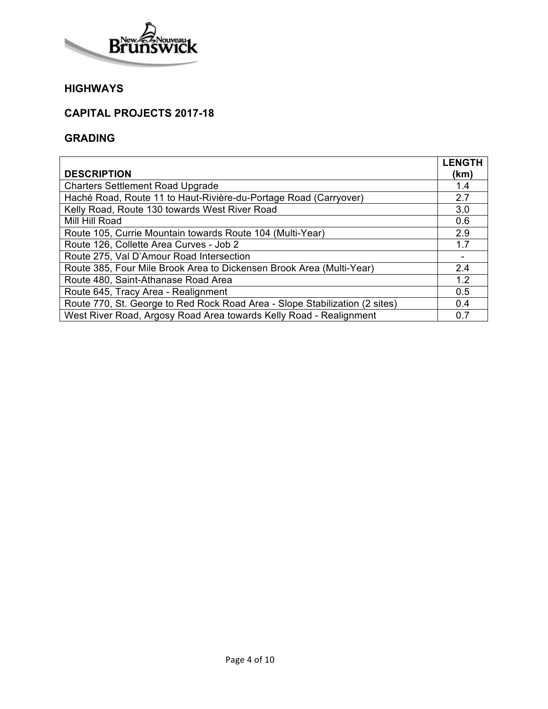

# **CAPITAL PROJECTS 2017-18**

### **GRADING**

|                                                                             | <b>LENGTH</b> |
|-----------------------------------------------------------------------------|---------------|
| <b>DESCRIPTION</b>                                                          | (km)          |
| <b>Charters Settlement Road Upgrade</b>                                     | 1.4           |
| Haché Road, Route 11 to Haut-Rivière-du-Portage Road (Carryover)            | 2.7           |
| Kelly Road, Route 130 towards West River Road                               | 3.0           |
| Mill Hill Road                                                              | 0.6           |
| Route 105, Currie Mountain towards Route 104 (Multi-Year)                   | 2.9           |
| Route 126, Collette Area Curves - Job 2                                     | 1.7           |
| Route 275, Val D'Amour Road Intersection                                    |               |
| Route 385, Four Mile Brook Area to Dickensen Brook Area (Multi-Year)        | 2.4           |
| Route 480, Saint-Athanase Road Area                                         | 1.2           |
| Route 645, Tracy Area - Realignment                                         | 0.5           |
| Route 770, St. George to Red Rock Road Area - Slope Stabilization (2 sites) | 0.4           |
| West River Road, Argosy Road Area towards Kelly Road - Realignment          | 0.7           |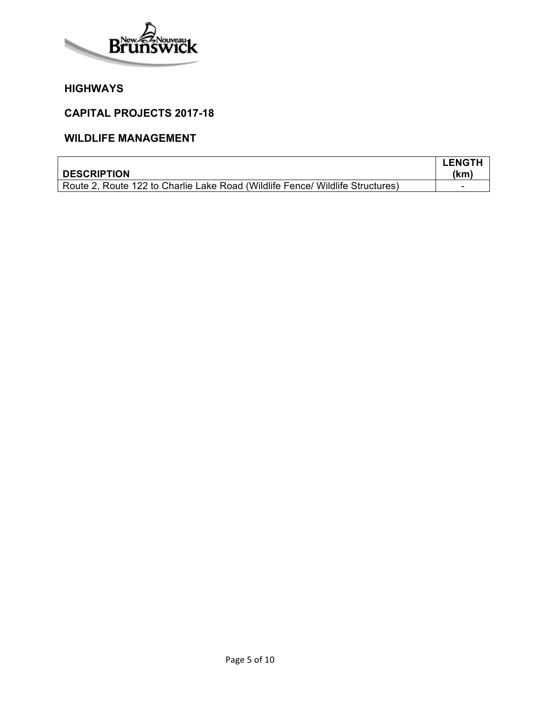

#### **CAPITAL PROJECTS 2017-18**

## **WILDLIFE MANAGEMENT**

|                                                                               | <b>LENGTH</b> |
|-------------------------------------------------------------------------------|---------------|
| <b>DESCRIPTION</b>                                                            | (kmˈ          |
| Route 2, Route 122 to Charlie Lake Road (Wildlife Fence/ Wildlife Structures) |               |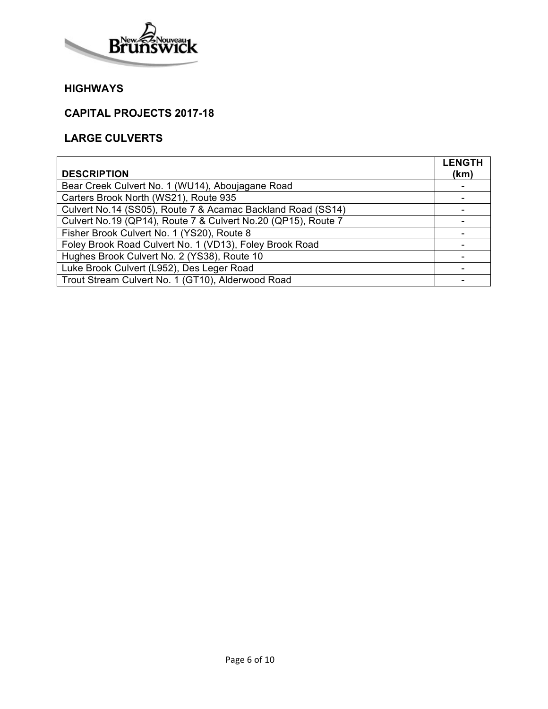

### **CAPITAL PROJECTS 2017-18**

# **LARGE CULVERTS**

| <b>DESCRIPTION</b>                                            | <b>LENGTH</b><br>(km) |
|---------------------------------------------------------------|-----------------------|
| Bear Creek Culvert No. 1 (WU14), Aboujagane Road              |                       |
| Carters Brook North (WS21), Route 935                         |                       |
| Culvert No.14 (SS05), Route 7 & Acamac Backland Road (SS14)   |                       |
| Culvert No.19 (QP14), Route 7 & Culvert No.20 (QP15), Route 7 |                       |
| Fisher Brook Culvert No. 1 (YS20), Route 8                    |                       |
| Foley Brook Road Culvert No. 1 (VD13), Foley Brook Road       |                       |
| Hughes Brook Culvert No. 2 (YS38), Route 10                   |                       |
| Luke Brook Culvert (L952), Des Leger Road                     |                       |
| Trout Stream Culvert No. 1 (GT10), Alderwood Road             |                       |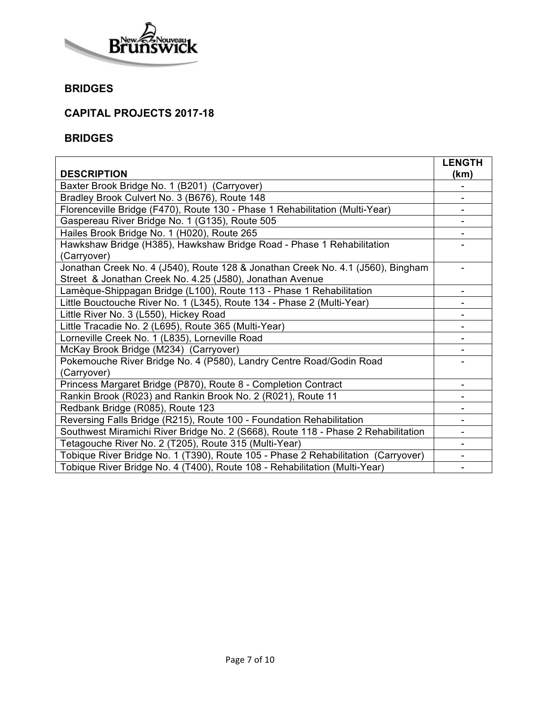

## **BRIDGES**

# **CAPITAL PROJECTS 2017-18**

#### **BRIDGES**

|                                                                                   | <b>LENGTH</b> |
|-----------------------------------------------------------------------------------|---------------|
| <b>DESCRIPTION</b>                                                                | (km)          |
| Baxter Brook Bridge No. 1 (B201) (Carryover)                                      |               |
| Bradley Brook Culvert No. 3 (B676), Route 148                                     |               |
| Florenceville Bridge (F470), Route 130 - Phase 1 Rehabilitation (Multi-Year)      |               |
| Gaspereau River Bridge No. 1 (G135), Route 505                                    |               |
| Hailes Brook Bridge No. 1 (H020), Route 265                                       |               |
| Hawkshaw Bridge (H385), Hawkshaw Bridge Road - Phase 1 Rehabilitation             |               |
| (Carryover)                                                                       |               |
| Jonathan Creek No. 4 (J540), Route 128 & Jonathan Creek No. 4.1 (J560), Bingham   |               |
| Street & Jonathan Creek No. 4.25 (J580), Jonathan Avenue                          |               |
| Lamèque-Shippagan Bridge (L100), Route 113 - Phase 1 Rehabilitation               |               |
| Little Bouctouche River No. 1 (L345), Route 134 - Phase 2 (Multi-Year)            |               |
| Little River No. 3 (L550), Hickey Road                                            |               |
| Little Tracadie No. 2 (L695), Route 365 (Multi-Year)                              |               |
| Lorneville Creek No. 1 (L835), Lorneville Road                                    |               |
| McKay Brook Bridge (M234) (Carryover)                                             |               |
| Pokemouche River Bridge No. 4 (P580), Landry Centre Road/Godin Road               |               |
| (Carryover)                                                                       |               |
| Princess Margaret Bridge (P870), Route 8 - Completion Contract                    |               |
| Rankin Brook (R023) and Rankin Brook No. 2 (R021), Route 11                       |               |
| Redbank Bridge (R085), Route 123                                                  |               |
| Reversing Falls Bridge (R215), Route 100 - Foundation Rehabilitation              |               |
| Southwest Miramichi River Bridge No. 2 (S668), Route 118 - Phase 2 Rehabilitation |               |
| Tetagouche River No. 2 (T205), Route 315 (Multi-Year)                             |               |
| Tobique River Bridge No. 1 (T390), Route 105 - Phase 2 Rehabilitation (Carryover) |               |
| Tobique River Bridge No. 4 (T400), Route 108 - Rehabilitation (Multi-Year)        |               |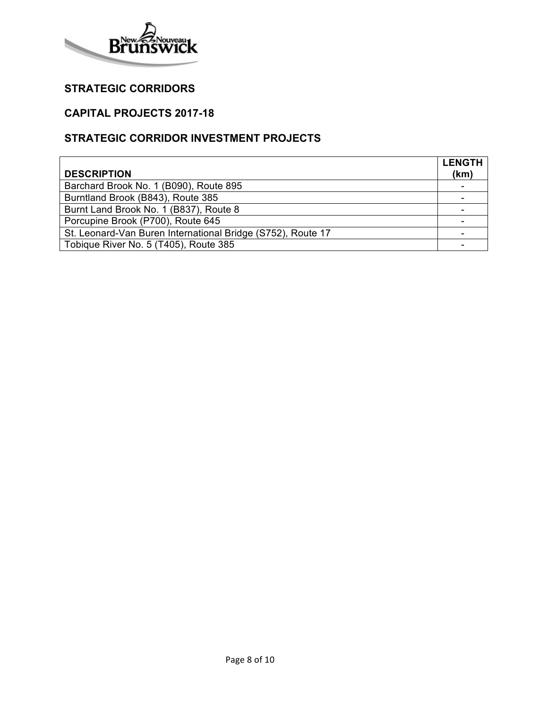

# **STRATEGIC CORRIDORS**

## **CAPITAL PROJECTS 2017-18**

## **STRATEGIC CORRIDOR INVESTMENT PROJECTS**

|                                                             | <b>LENGTH</b> |
|-------------------------------------------------------------|---------------|
| <b>DESCRIPTION</b>                                          | (km)          |
| Barchard Brook No. 1 (B090), Route 895                      |               |
| Burntland Brook (B843), Route 385                           |               |
| Burnt Land Brook No. 1 (B837), Route 8                      |               |
| Porcupine Brook (P700), Route 645                           |               |
| St. Leonard-Van Buren International Bridge (S752), Route 17 |               |
| Tobique River No. 5 (T405), Route 385                       |               |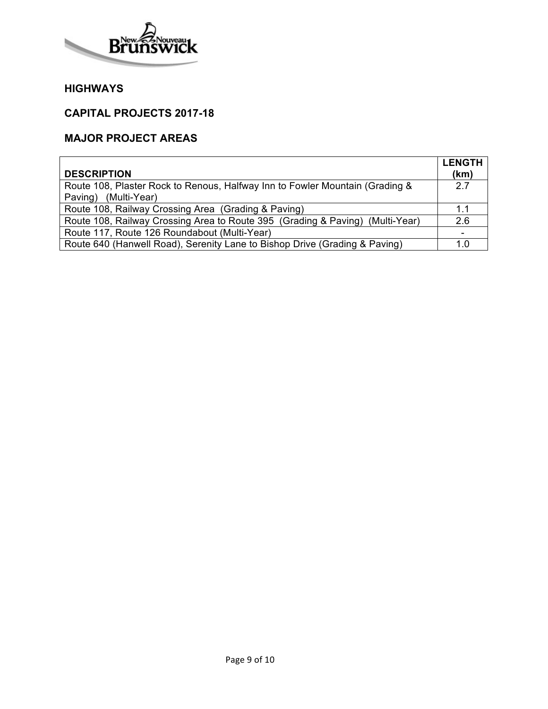

#### **CAPITAL PROJECTS 2017-18**

# **MAJOR PROJECT AREAS**

|                                                                               | <b>LENGTH</b> |
|-------------------------------------------------------------------------------|---------------|
| <b>DESCRIPTION</b>                                                            | (km)          |
| Route 108, Plaster Rock to Renous, Halfway Inn to Fowler Mountain (Grading &  | 27            |
| Paving) (Multi-Year)                                                          |               |
| Route 108, Railway Crossing Area (Grading & Paving)                           | 1.1           |
| Route 108, Railway Crossing Area to Route 395 (Grading & Paving) (Multi-Year) | 2.6           |
| Route 117, Route 126 Roundabout (Multi-Year)                                  |               |
| Route 640 (Hanwell Road), Serenity Lane to Bishop Drive (Grading & Paving)    | 1.0           |